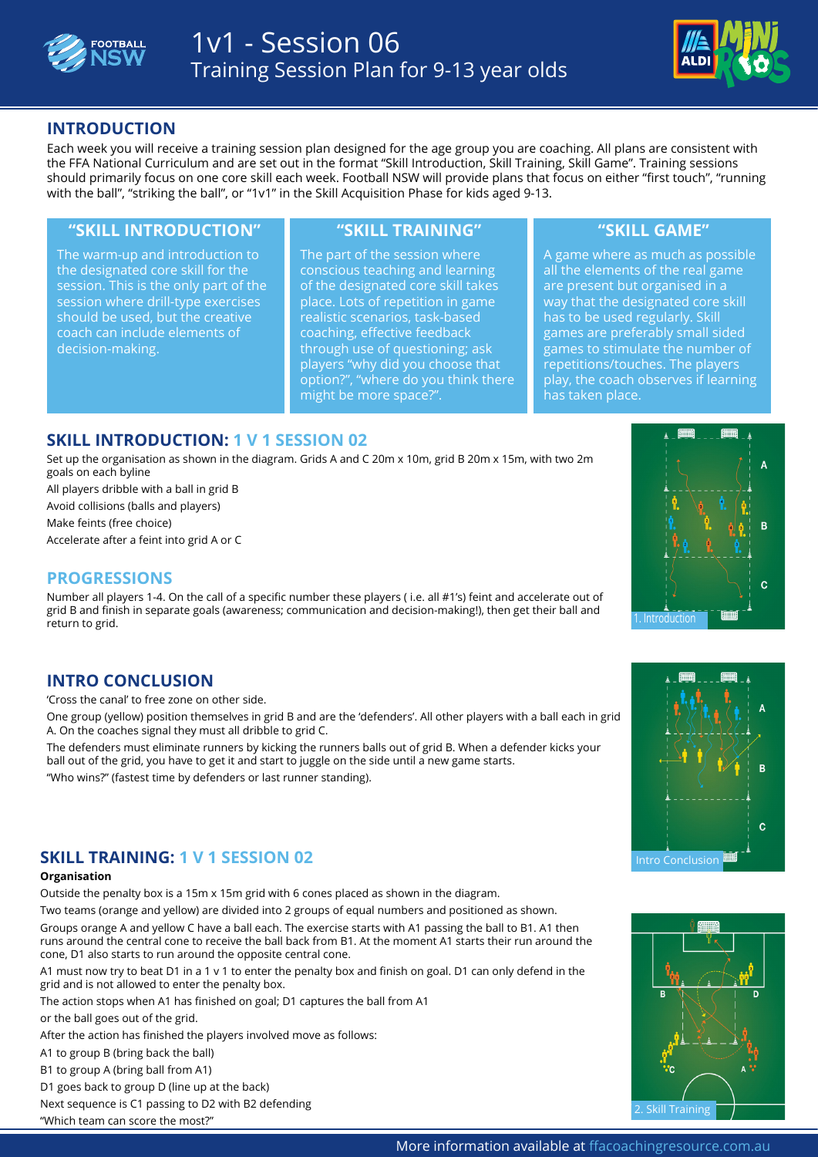



# **INTRODUCTION**

Each week you will receive a training session plan designed for the age group you are coaching. All plans are consistent with the FFA National Curriculum and are set out in the format "Skill Introduction, Skill Training, Skill Game". Training sessions should primarily focus on one core skill each week. Football NSW will provide plans that focus on either "first touch", "running with the ball", "striking the ball", or "1v1" in the Skill Acquisition Phase for kids aged 9-13.

### **"SKILL INTRODUCTION" "SKILL TRAINING" "SKILL GAME"**

The warm-up and introduction to the designated core skill for the session. This is the only part of the session where drill-type exercises should be used, but the creative coach can include elements of decision-making.

The part of the session where conscious teaching and learning of the designated core skill takes place. Lots of repetition in game realistic scenarios, task-based coaching, effective feedback through use of questioning; ask players "why did you choose that option?", "where do you think there might be more space?".

A game where as much as possible all the elements of the real game are present but organised in a way that the designated core skill has to be used regularly. Skill games are preferably small sided games to stimulate the number of repetitions/touches. The players play, the coach observes if learning has taken place.

## **SKILL INTRODUCTION: 1 V 1 SESSION 02**

Set up the organisation as shown in the diagra[m. Grids A and C](http://www.ffacoachingresource.com.au/the-building-blocks/the-skill-acquisition-phase/session-listing/1-v-1-session-1/?eid=2309) 20m x 10m, grid B 20m x 15m, with two 2m<br>. goals on each byline

All players dribble with a ball in grid B

Avoid collisions (balls and players)

Make feints (free choice)

Accelerate after a feint into grid A or C

### **PROGRESSIONS**

Number all players 1-4. On the call of a specific number these players ( i.e. all #1's) feint and accelerate out of grid B and finish in separate goals (awareness; communication and decision-making!), then get their ball and return to grid. The contract of the contract of the contract of the contract of the contract of the contract of the contract of the contract of the contract of the contract of the contract of the contract of the contract o

### **INTRO CONCLUSION**

'Cross the canal' to free zone on other side.

One group (yellow) position themselves in grid B and are the 'defenders'. All other players with a ball each in grid A. On the coaches signal they must all dribble to grid C.

The defenders must eliminate runners by kicking the runners balls out of grid B. When a defender kicks your ball out of the grid, you have to get it and start to juggle on the side until a new game starts.

"Who wins?" (fastest time by defenders or last runner standing).

# **SKILL TRAINING: 1 V 1 SESSION 02**

#### **Organisation**

Outside the penalty box is a 15m x 15m grid with 6 cones placed as shown in the diagram.

Two teams (orange and yellow) are divided into 2 groups of equal numbers and positioned as shown. Groups orange A and yellow C have a ball each. The exercise starts with A1 passing the ball to B1. A1 then runs around the central cone to receive the ball back from B1. At the moment A1 starts their run around the cone, D1 also starts to run around the opposite central cone.

A1 must now try to beat D1 in a 1 v 1 to enter the penalty box and finish on goal. D1 can only defend in the grid and is not allowed to enter the penalty box.

The action stops when A1 has finished on goal; D1 captures the ball from A1

or the ball goes out of the grid.

After the action has finished the players involved move as follows:

A1 to group B (bring back the ball)

B1 to group A (bring ball from A1)

D1 goes back to group D (line up at the back)

Next sequence is C1 passing to D2 with B2 defending

"Which team can score the most?"